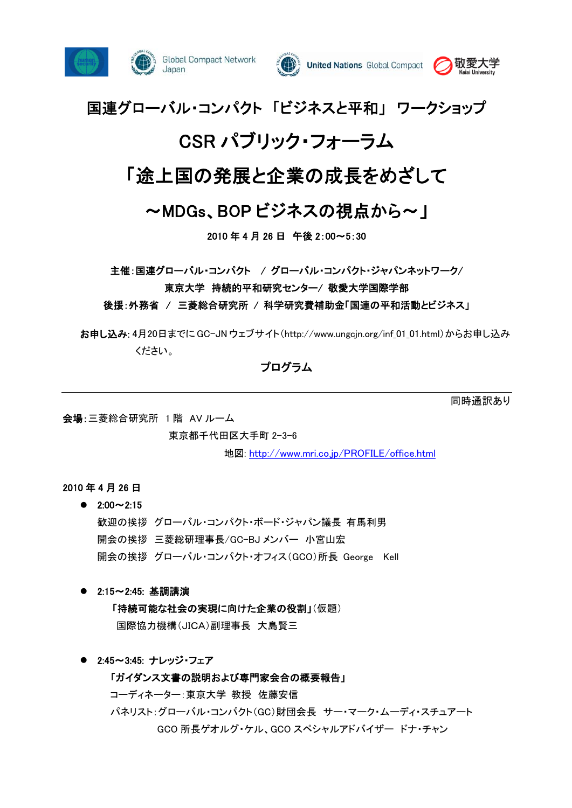





# 国連グローバル・コンパクト 「ビジネスと平和」 ワークショップ

# CSR パブリック・フォーラム

# 「途上国の発展と企業の成長をめざして

# ~MDGs、BOP ビジネスの視点から~」

2010 年 4 月 26 日 午後 2:00~5:30

主催:国連グローバル・コンパクト / グローバル・コンパクト・ジャパンネットワーク/

東京大学 持続的平和研究センター/ 敬愛大学国際学部

後援:外務省 / 三菱総合研究所 / 科学研究費補助金「国連の平和活動とビジネス」

お申し込み: 4月20日までに GC-JN ウェブサイト(http://www.ungcin.org/inf\_01\_01.html)からお申し込み ください。

プログラム

会場:三菱総合研究所 1 階 AV ルーム

東京都千代田区大手町 2-3-6

地図: http://www.mri.co.jp/PROFILE/office.html

## 2010 年 4 月 26 日

## $\bullet$  2:00 $\sim$ 2:15

歓迎の挨拶 グローバル・コンパクト・ボード・ジャパン議長 有馬利男 開会の挨拶 三菱総研理事長/GC-BJ メンバー 小宮山宏 開会の挨拶 グローバル・コンパクト・オフィス(GCO)所長 George Kell

## ● 2:15~2:45: 基調講演

「持続可能な社会の実現に向けた企業の役割」(仮題) 国際協力機構(JICA)副理事長 大島賢三

● 2:45~3:45: ナレッジ・フェア

## 「ガイダンス文書の説明および専門家会合の概要報告」

コーディネーター:東京大学 教授 佐藤安信

パネリスト:グローバル・コンパクト(GC)財団会長 サー・マーク・ムーディ・スチュアート GCO 所長ゲオルグ・ケル、GCO スペシャルアドバイザー ドナ・チャン

同時通訳あり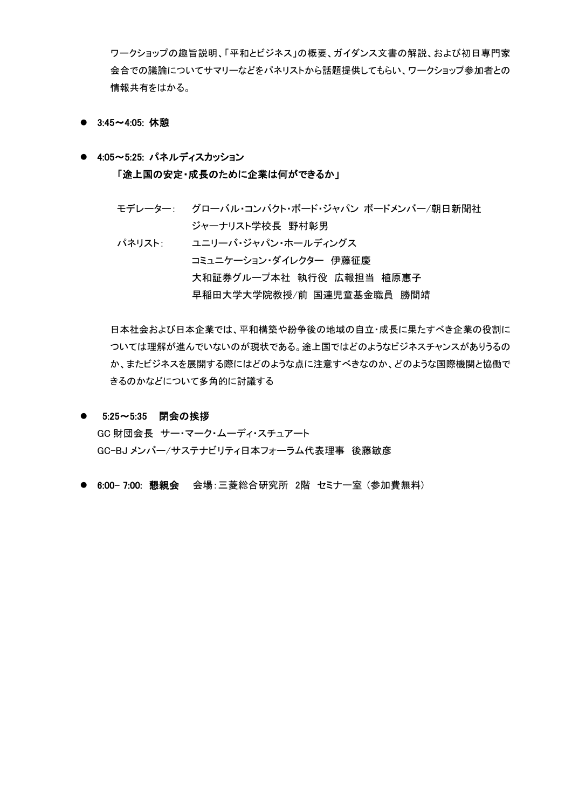ワークショップの趣旨説明、「平和とビジネス」の概要、ガイダンス文書の解説、および初日専門家 会合での議論についてサマリーなどをパネリストから話題提供してもらい、ワークショップ参加者との 情報共有をはかる。

- 3:45~4:05: 休憩
- 4:05~5:25: パネルディスカッション 「途上国の安定・成長のために企業は何ができるか」
	- モデレーター: グローバル・コンパクト・ボード・ジャパン ボードメンバー/朝日新聞社 ジャーナリスト学校長 野村彰男
	- パネリスト: ユニリーバ・ジャパン・ホールディングス コミュニケーション・ダイレクター 伊藤征慶 大和証券グループ本社 執行役 広報担当 植原惠子 早稲田大学大学院教授/前 国連児童基金職員 勝間靖

日本社会および日本企業では、平和構築や紛争後の地域の自立・成長に果たすべき企業の役割に ついては理解が進んでいないのが現状である。途上国ではどのようなビジネスチャンスがありうるの か、またビジネスを展開する際にはどのような点に注意すべきなのか、どのような国際機関と協働で きるのかなどについて多角的に討議する

● 5:25~5:35 閉会の挨拶

GC 財団会長 サー・マーク・ムーディ・スチュアート GC-BJ メンバー/サステナビリティ日本フォーラム代表理事 後藤敏彦

● 6:00-7:00: 懇親会 会場:三菱総合研究所 2階 セミナー室 (参加費無料)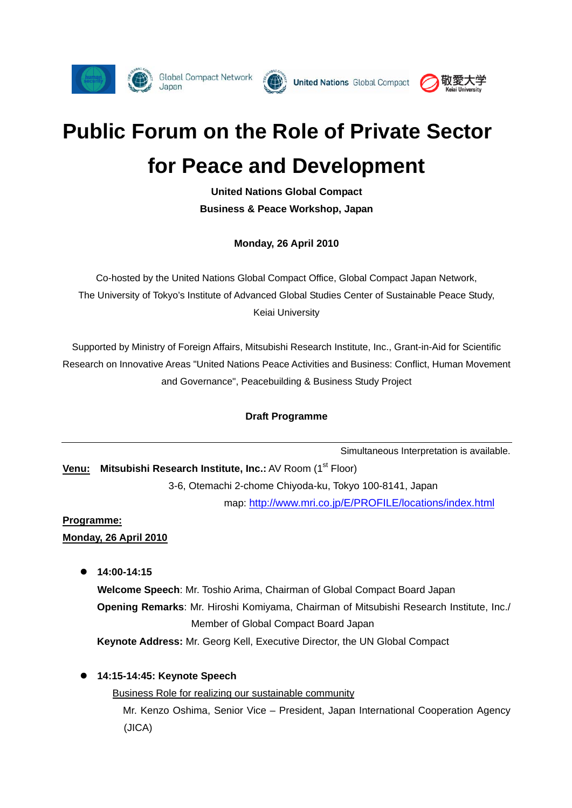





# **Public Forum on the Role of Private Sector for Peace and Development**

**United Nations Global Compact Business & Peace Workshop, Japan** 

**Monday, 26 April 2010** 

Co-hosted by the United Nations Global Compact Office, Global Compact Japan Network, The University of Tokyo's Institute of Advanced Global Studies Center of Sustainable Peace Study, Keiai University

Supported by Ministry of Foreign Affairs, Mitsubishi Research Institute, Inc., Grant-in-Aid for Scientific Research on Innovative Areas "United Nations Peace Activities and Business: Conflict, Human Movement and Governance", Peacebuilding & Business Study Project

# **Draft Programme**

Simultaneous Interpretation is available.

**Venu:** Mitsubishi Research Institute, Inc.: AV Room (1<sup>st</sup> Floor)

3-6, Otemachi 2-chome Chiyoda-ku, Tokyo 100-8141, Japan

map: http://www.mri.co.jp/E/PROFILE/locations/index.html

# **Programme:**

**Monday, 26 April 2010**

z **14:00-14:15** 

**Welcome Speech**: Mr. Toshio Arima, Chairman of Global Compact Board Japan **Opening Remarks**: Mr. Hiroshi Komiyama, Chairman of Mitsubishi Research Institute, Inc./ Member of Global Compact Board Japan **Keynote Address:** Mr. Georg Kell, Executive Director, the UN Global Compact

z **14:15-14:45: Keynote Speech** 

Business Role for realizing our sustainable community Mr. Kenzo Oshima, Senior Vice – President, Japan International Cooperation Agency (JICA)